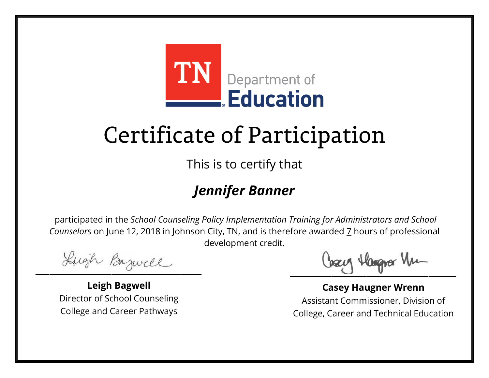

This is to certify that

### *Jennifer Banner*

Lugh Bazwell

**Leigh Bagwell** Director of School Counseling College and Career Pathways

Losey Hangra Vm

**Casey Haugner Wrenn** Assistant Commissioner, Division of College, Career and Technical Education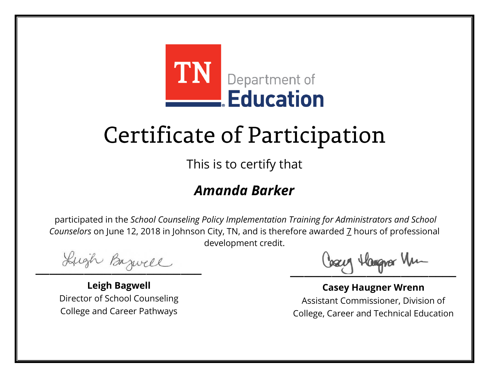

This is to certify that

#### *Amanda Barker*

Lugh Bazwell

**Leigh Bagwell** Director of School Counseling College and Career Pathways

Losey Hangra Vm

**Casey Haugner Wrenn** Assistant Commissioner, Division of College, Career and Technical Education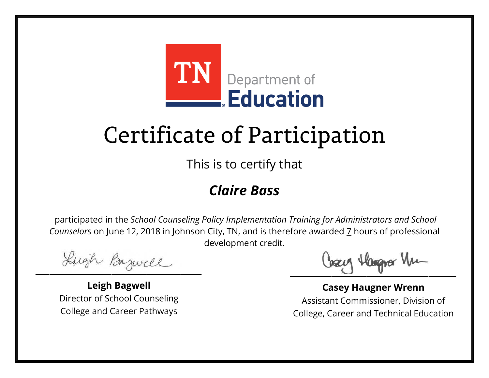

This is to certify that

#### *Claire Bass*

Lugh Bazwell

**Leigh Bagwell** Director of School Counseling College and Career Pathways

Losey Hangra Vm

**Casey Haugner Wrenn** Assistant Commissioner, Division of College, Career and Technical Education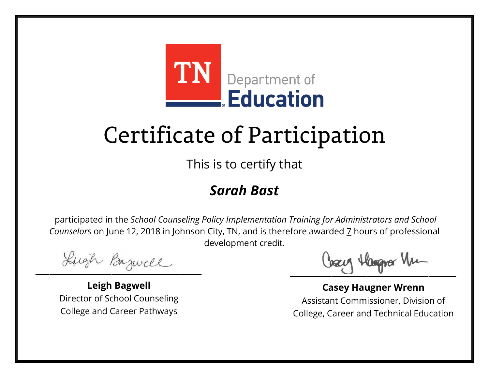

This is to certify that

#### *Sarah Bast*

Lugh Bazwell

**Leigh Bagwell** Director of School Counseling College and Career Pathways

Losey Hangra Vm

**Casey Haugner Wrenn** Assistant Commissioner, Division of College, Career and Technical Education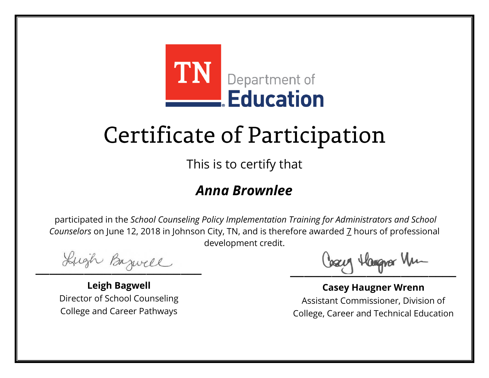

This is to certify that

#### *Anna Brownlee*

Lugh Bazwell

**Leigh Bagwell** Director of School Counseling College and Career Pathways

Losey Hangra Vm

**Casey Haugner Wrenn** Assistant Commissioner, Division of College, Career and Technical Education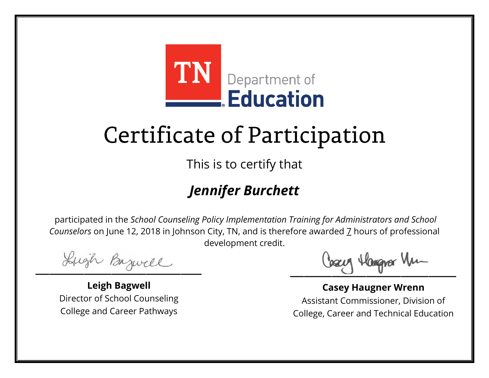

This is to certify that

### *Jennifer Burchett*

Lugh Bazwell

**Leigh Bagwell** Director of School Counseling College and Career Pathways

Losey Hangra Vm

**Casey Haugner Wrenn** Assistant Commissioner, Division of College, Career and Technical Education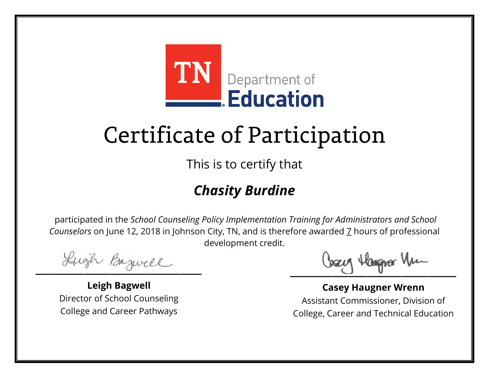

This is to certify that

### *Chasity Burdine*

Lugh Bazwell

**Leigh Bagwell** Director of School Counseling College and Career Pathways

Losey Hangra Vm

**Casey Haugner Wrenn** Assistant Commissioner, Division of College, Career and Technical Education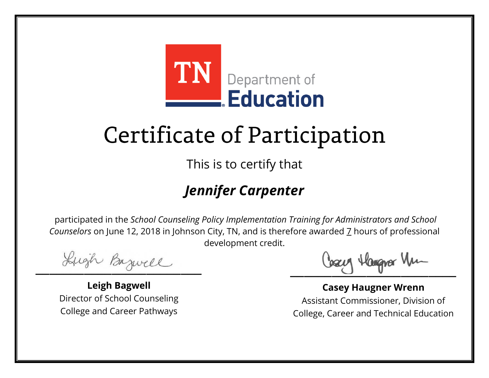

This is to certify that

### *Jennifer Carpenter*

Lugh Bazwell

**Leigh Bagwell** Director of School Counseling College and Career Pathways

Losey Hangra Vm

**Casey Haugner Wrenn** Assistant Commissioner, Division of College, Career and Technical Education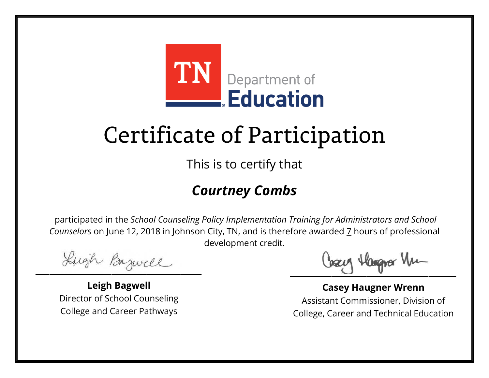

This is to certify that

#### *Courtney Combs*

Lugh Bazwell

**Leigh Bagwell** Director of School Counseling College and Career Pathways

Losey Hangra Vm

**Casey Haugner Wrenn** Assistant Commissioner, Division of College, Career and Technical Education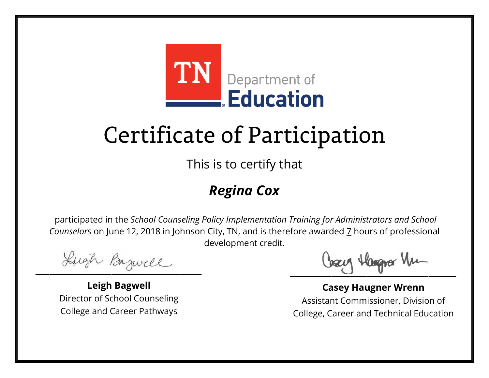

This is to certify that

### *Regina Cox*

Lugh Bazwell

**Leigh Bagwell** Director of School Counseling College and Career Pathways

Losey Hangra Vm

**Casey Haugner Wrenn** Assistant Commissioner, Division of College, Career and Technical Education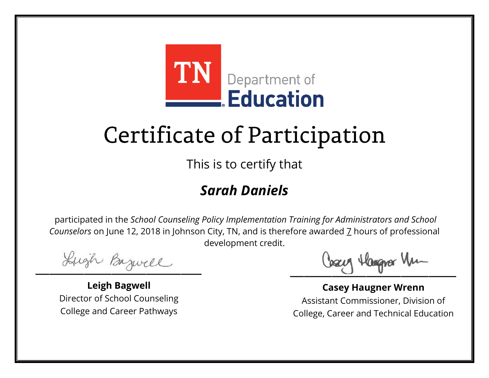

This is to certify that

#### *Sarah Daniels*

Lugh Bazwell

**Leigh Bagwell** Director of School Counseling College and Career Pathways

Losey Hangra Vm

**Casey Haugner Wrenn** Assistant Commissioner, Division of College, Career and Technical Education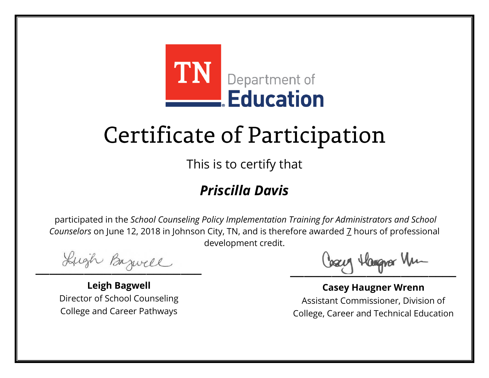

This is to certify that

### *Priscilla Davis*

Lugh Bazwell

**Leigh Bagwell** Director of School Counseling College and Career Pathways

Losey Hangra Vm

**Casey Haugner Wrenn** Assistant Commissioner, Division of College, Career and Technical Education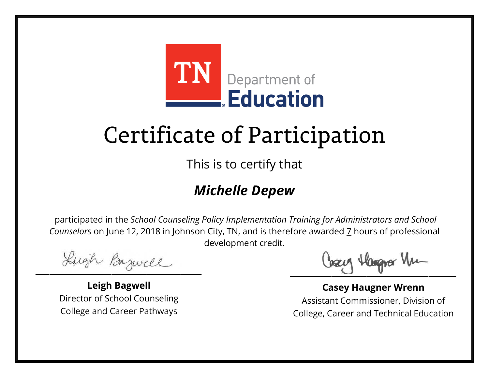

This is to certify that

### *Michelle Depew*

Lugh Bazwell

**Leigh Bagwell** Director of School Counseling College and Career Pathways

Losey Hangra Vm

**Casey Haugner Wrenn** Assistant Commissioner, Division of College, Career and Technical Education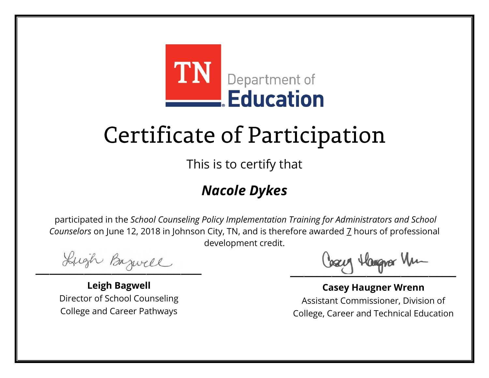

This is to certify that

### *Nacole Dykes*

Lugh Bazwell

**Leigh Bagwell** Director of School Counseling College and Career Pathways

Losey Hangra Vm

**Casey Haugner Wrenn** Assistant Commissioner, Division of College, Career and Technical Education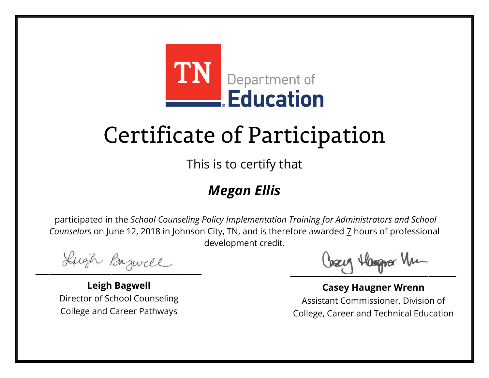

This is to certify that

### *Megan Ellis*

Lugh Bazwell

**Leigh Bagwell** Director of School Counseling College and Career Pathways

Losey Hangra Vm

**Casey Haugner Wrenn** Assistant Commissioner, Division of College, Career and Technical Education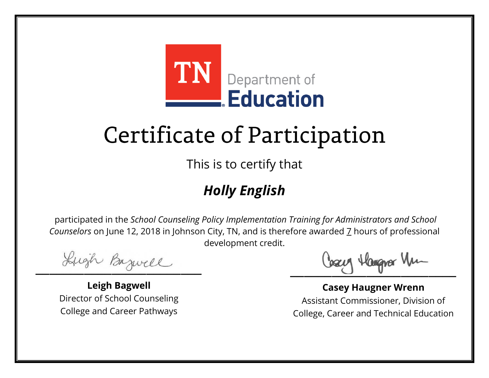

This is to certify that

### *Holly English*

Lugh Bazwell

**Leigh Bagwell** Director of School Counseling College and Career Pathways

Losey Hangra Vm

**Casey Haugner Wrenn** Assistant Commissioner, Division of College, Career and Technical Education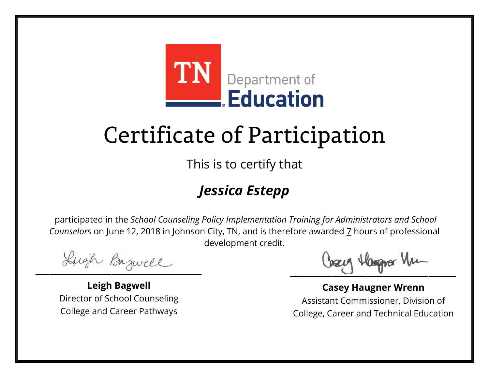

This is to certify that

### *Jessica Estepp*

Lugh Bazwell

**Leigh Bagwell** Director of School Counseling College and Career Pathways

Losey Hangra Vm

**Casey Haugner Wrenn** Assistant Commissioner, Division of College, Career and Technical Education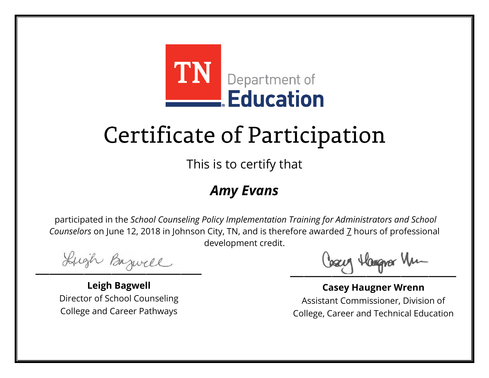

This is to certify that

#### *Amy Evans*

Lugh Bazwell

**Leigh Bagwell** Director of School Counseling College and Career Pathways

Losey Hangra Vm

**Casey Haugner Wrenn** Assistant Commissioner, Division of College, Career and Technical Education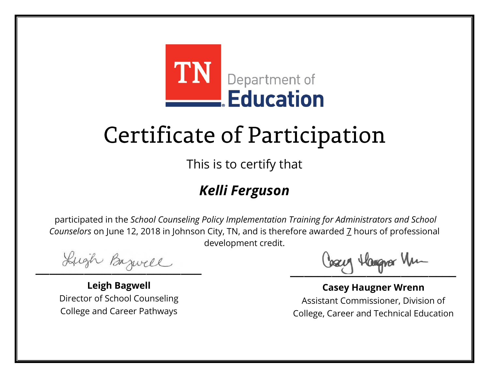

This is to certify that

### *Kelli Ferguson*

Lugh Bazwell

**Leigh Bagwell** Director of School Counseling College and Career Pathways

Losey Hangra Vm

**Casey Haugner Wrenn** Assistant Commissioner, Division of College, Career and Technical Education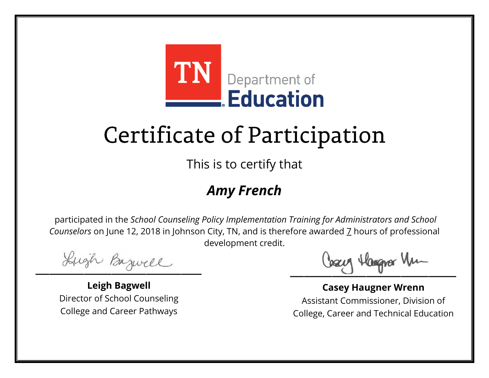

This is to certify that

### *Amy French*

Lugh Bazwell

**Leigh Bagwell** Director of School Counseling College and Career Pathways

Losey Hangra Vm

**Casey Haugner Wrenn** Assistant Commissioner, Division of College, Career and Technical Education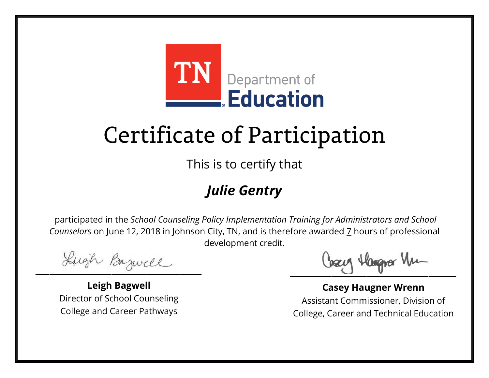

This is to certify that

### *Julie Gentry*

Lugh Bazwell

**Leigh Bagwell** Director of School Counseling College and Career Pathways

Losey Hangra Vm

**Casey Haugner Wrenn** Assistant Commissioner, Division of College, Career and Technical Education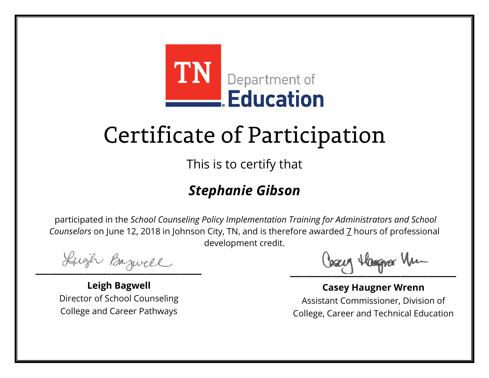

This is to certify that

### *Stephanie Gibson*

Lugh Bazwell

**Leigh Bagwell** Director of School Counseling College and Career Pathways

Losey Hangra Vm

**Casey Haugner Wrenn** Assistant Commissioner, Division of College, Career and Technical Education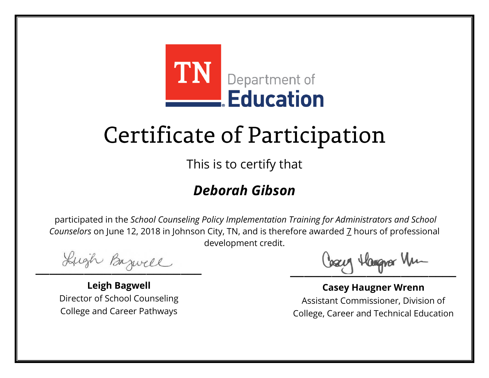

This is to certify that

### *Deborah Gibson*

Lugh Bazwell

**Leigh Bagwell** Director of School Counseling College and Career Pathways

Losey Hangra Vm

**Casey Haugner Wrenn** Assistant Commissioner, Division of College, Career and Technical Education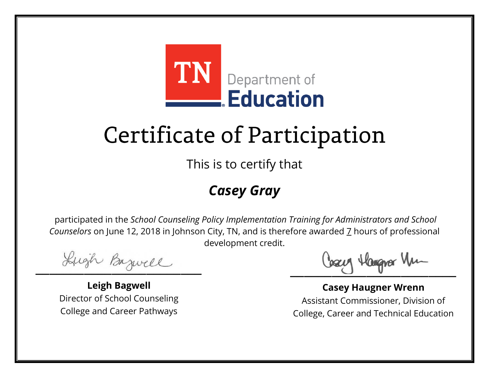

This is to certify that

#### *Casey Gray*

Lugh Bazwell

**Leigh Bagwell** Director of School Counseling College and Career Pathways

Losey Hangra Vm

**Casey Haugner Wrenn** Assistant Commissioner, Division of College, Career and Technical Education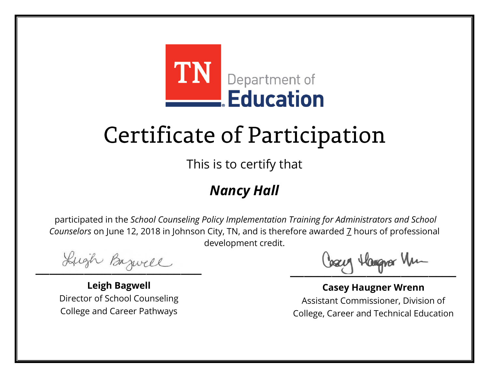

This is to certify that

### *Nancy Hall*

Lugh Bazwell

**Leigh Bagwell** Director of School Counseling College and Career Pathways

Losey Hangra Vm

**Casey Haugner Wrenn** Assistant Commissioner, Division of College, Career and Technical Education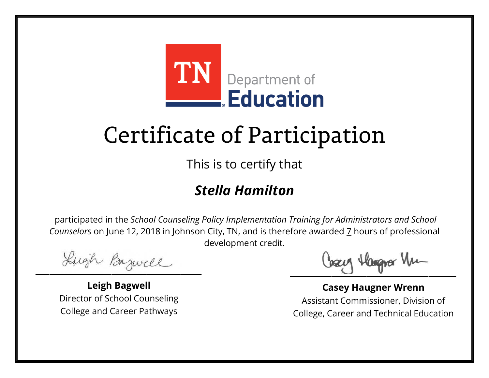

This is to certify that

### *Stella Hamilton*

Lugh Bazwell

**Leigh Bagwell** Director of School Counseling College and Career Pathways

Losey Hangra Vm

**Casey Haugner Wrenn** Assistant Commissioner, Division of College, Career and Technical Education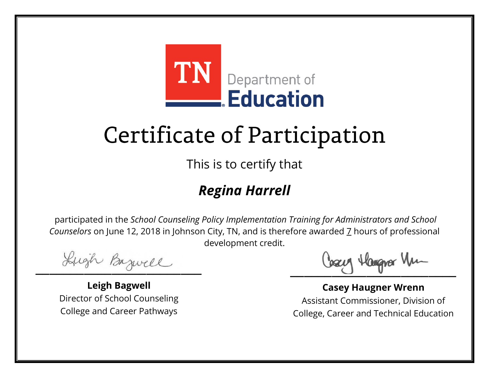

This is to certify that

### *Regina Harrell*

Lugh Bazwell

**Leigh Bagwell** Director of School Counseling College and Career Pathways

Losey Hangra Vm

**Casey Haugner Wrenn** Assistant Commissioner, Division of College, Career and Technical Education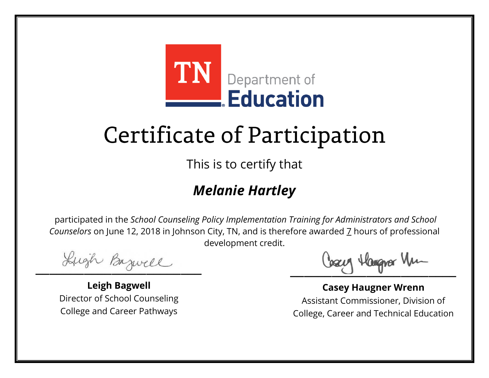

This is to certify that

### *Melanie Hartley*

Lugh Bazwell

**Leigh Bagwell** Director of School Counseling College and Career Pathways

Losey Hangra Vm

**Casey Haugner Wrenn** Assistant Commissioner, Division of College, Career and Technical Education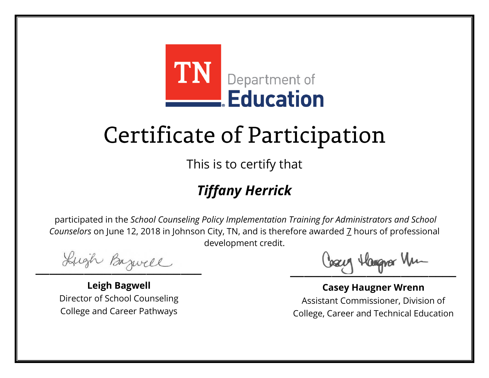

This is to certify that

### *Tiffany Herrick*

Lugh Bazwell

**Leigh Bagwell** Director of School Counseling College and Career Pathways

Losey Hangra Vm

**Casey Haugner Wrenn** Assistant Commissioner, Division of College, Career and Technical Education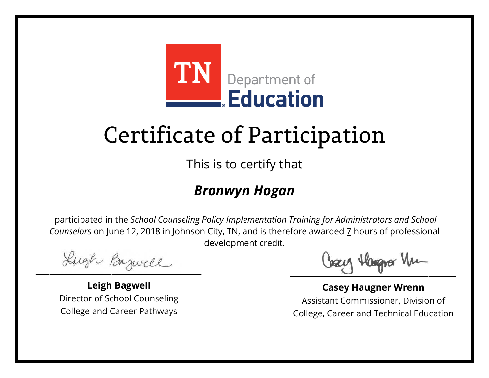

This is to certify that

#### *Bronwyn Hogan*

Lugh Bazwell

**Leigh Bagwell** Director of School Counseling College and Career Pathways

Losey Hangra Vm

**Casey Haugner Wrenn** Assistant Commissioner, Division of College, Career and Technical Education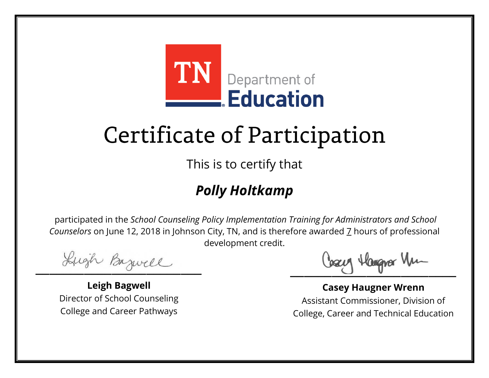

This is to certify that

### *Polly Holtkamp*

Lugh Bazwell

**Leigh Bagwell** Director of School Counseling College and Career Pathways

Losey Hangra Vm

**Casey Haugner Wrenn** Assistant Commissioner, Division of College, Career and Technical Education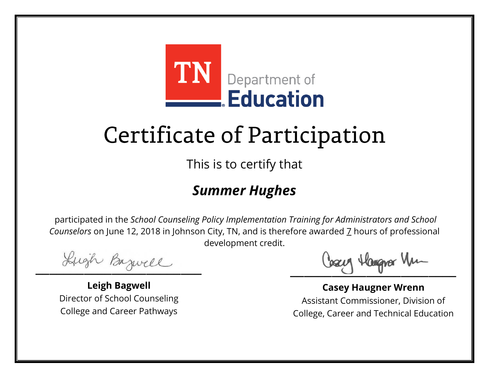

This is to certify that

#### *Summer Hughes*

Lugh Bazwell

**Leigh Bagwell** Director of School Counseling College and Career Pathways

Losey Hangra Vm

**Casey Haugner Wrenn** Assistant Commissioner, Division of College, Career and Technical Education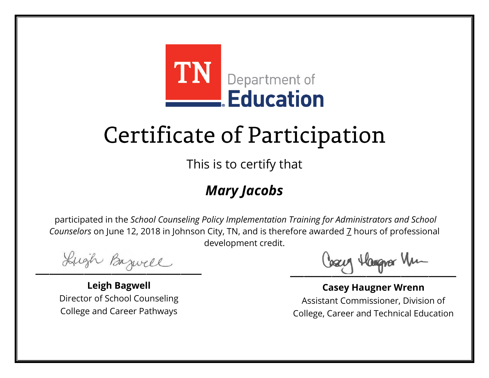

This is to certify that

### *Mary Jacobs*

Lugh Bazwell

**Leigh Bagwell** Director of School Counseling College and Career Pathways

Losey Hangra Vm

**Casey Haugner Wrenn** Assistant Commissioner, Division of College, Career and Technical Education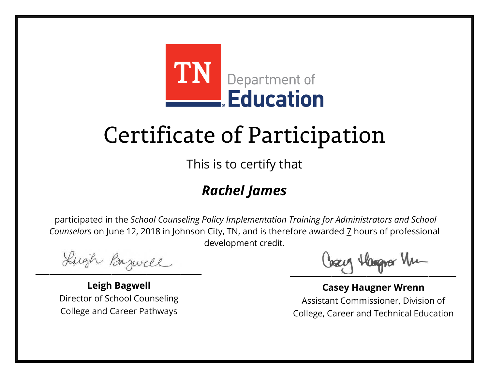

This is to certify that

### *Rachel James*

Lugh Bazwell

**Leigh Bagwell** Director of School Counseling College and Career Pathways

Losey Hangra Vm

**Casey Haugner Wrenn** Assistant Commissioner, Division of College, Career and Technical Education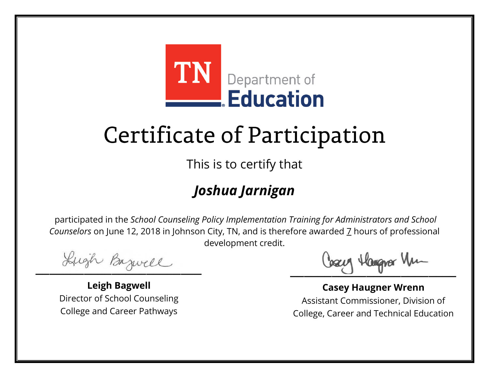

This is to certify that

### *Joshua Jarnigan*

Lugh Bazwell

**Leigh Bagwell** Director of School Counseling College and Career Pathways

Losey Hangra Vm

**Casey Haugner Wrenn** Assistant Commissioner, Division of College, Career and Technical Education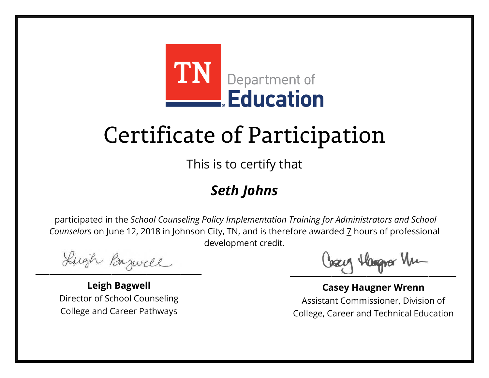

This is to certify that

### *Seth Johns*

Lugh Bazwell

**Leigh Bagwell** Director of School Counseling College and Career Pathways

Losey Hangra Vm

**Casey Haugner Wrenn** Assistant Commissioner, Division of College, Career and Technical Education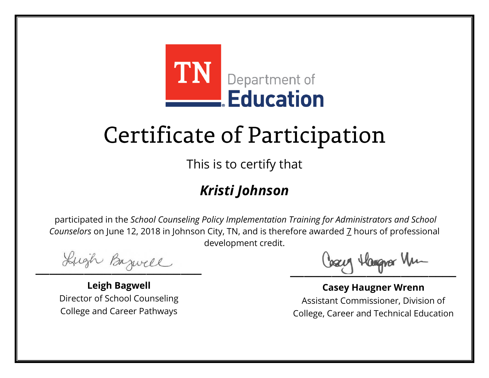

This is to certify that

### *Kristi Johnson*

Lugh Bazwell

**Leigh Bagwell** Director of School Counseling College and Career Pathways

Losey Hangra Vm

**Casey Haugner Wrenn** Assistant Commissioner, Division of College, Career and Technical Education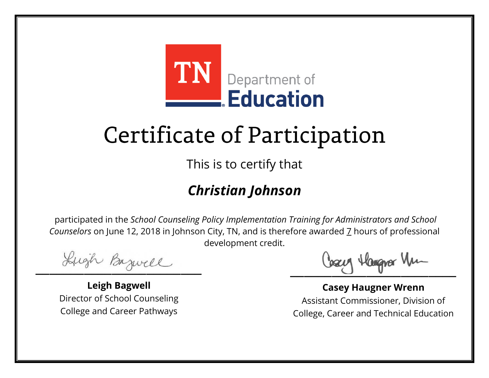

This is to certify that

### *Christian Johnson*

Lugh Bazwell

**Leigh Bagwell** Director of School Counseling College and Career Pathways

Losey Hangra Vm

**Casey Haugner Wrenn** Assistant Commissioner, Division of College, Career and Technical Education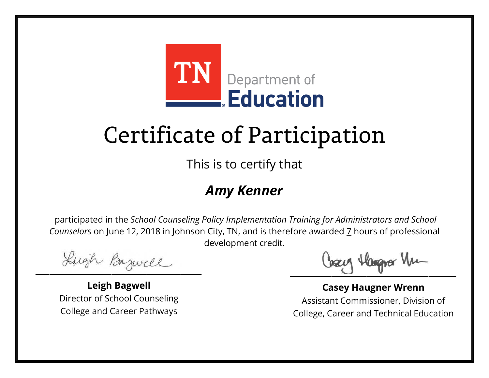

This is to certify that

#### *Amy Kenner*

Lugh Bazwell

**Leigh Bagwell** Director of School Counseling College and Career Pathways

Losey Hangra Vm

**Casey Haugner Wrenn** Assistant Commissioner, Division of College, Career and Technical Education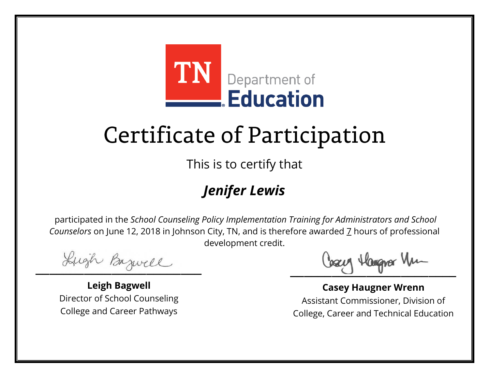

This is to certify that

### *Jenifer Lewis*

Lugh Bazwell

**Leigh Bagwell** Director of School Counseling College and Career Pathways

Losey Hangra Vm

**Casey Haugner Wrenn** Assistant Commissioner, Division of College, Career and Technical Education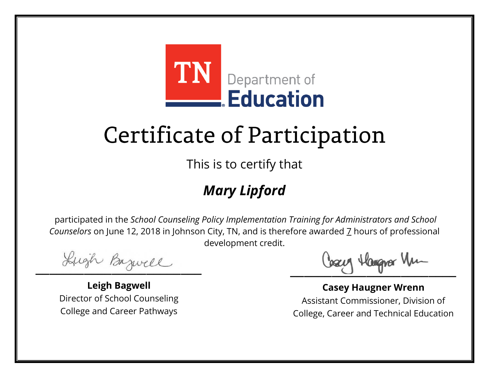

This is to certify that

### *Mary Lipford*

Lugh Bazwell

**Leigh Bagwell** Director of School Counseling College and Career Pathways

Losey Hangra Vm

**Casey Haugner Wrenn** Assistant Commissioner, Division of College, Career and Technical Education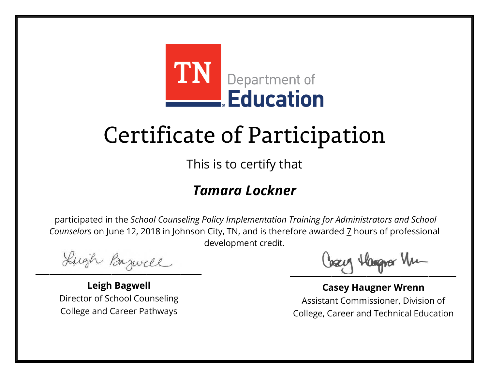

This is to certify that

#### *Tamara Lockner*

Lugh Bazwell

**Leigh Bagwell** Director of School Counseling College and Career Pathways

Losey Hangra Vm

**Casey Haugner Wrenn** Assistant Commissioner, Division of College, Career and Technical Education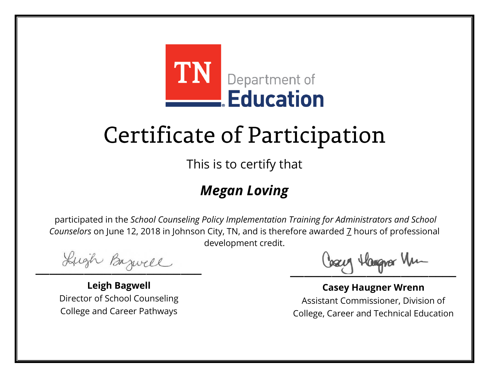

This is to certify that

### *Megan Loving*

Lugh Bazwell

**Leigh Bagwell** Director of School Counseling College and Career Pathways

Losey Hangra Vm

**Casey Haugner Wrenn** Assistant Commissioner, Division of College, Career and Technical Education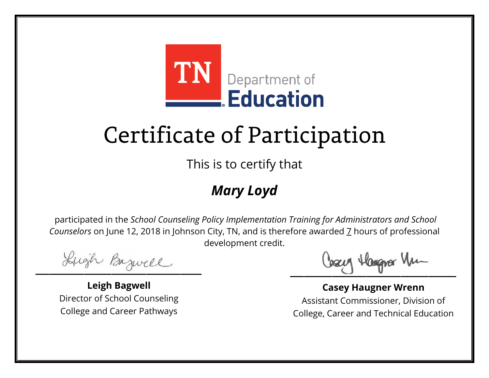

This is to certify that

### *Mary Loyd*

Lugh Bazwell

**Leigh Bagwell** Director of School Counseling College and Career Pathways

Losey Hangra Vm

**Casey Haugner Wrenn** Assistant Commissioner, Division of College, Career and Technical Education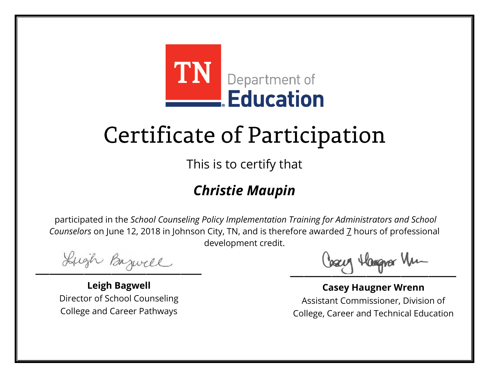

This is to certify that

### *Christie Maupin*

Lugh Bazwell

**Leigh Bagwell** Director of School Counseling College and Career Pathways

Losey Hangra Vm

**Casey Haugner Wrenn** Assistant Commissioner, Division of College, Career and Technical Education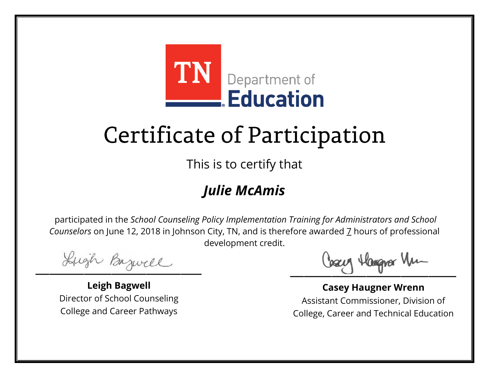

This is to certify that

### *Julie McAmis*

Lugh Bazwell

**Leigh Bagwell** Director of School Counseling College and Career Pathways

Losey Hangra Vm

**Casey Haugner Wrenn** Assistant Commissioner, Division of College, Career and Technical Education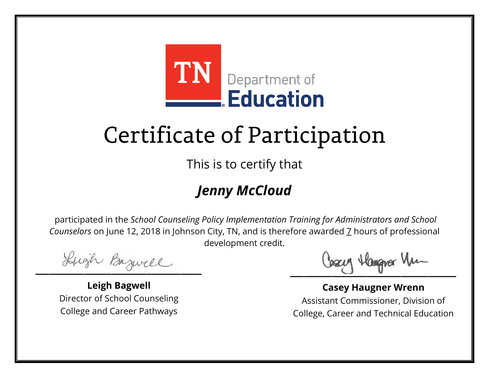

This is to certify that

### *Jenny McCloud*

Lugh Bazwell

**Leigh Bagwell** Director of School Counseling College and Career Pathways

Losey Hangra Vm

**Casey Haugner Wrenn** Assistant Commissioner, Division of College, Career and Technical Education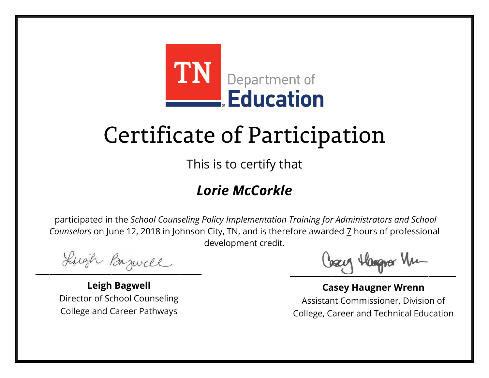

This is to certify that

### *Lorie McCorkle*

Lugh Bazwell

**Leigh Bagwell** Director of School Counseling College and Career Pathways

Losey Hangra Vm

**Casey Haugner Wrenn** Assistant Commissioner, Division of College, Career and Technical Education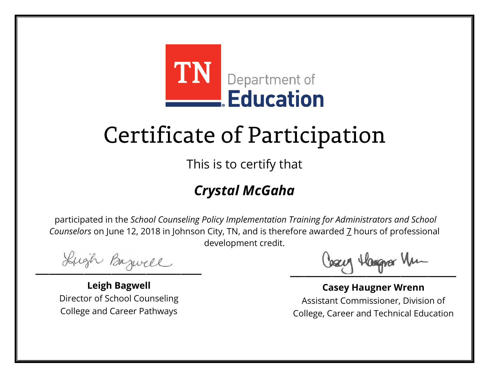

This is to certify that

### *Crystal McGaha*

Lugh Bazwell

**Leigh Bagwell** Director of School Counseling College and Career Pathways

Losey Hangra Vm

**Casey Haugner Wrenn** Assistant Commissioner, Division of College, Career and Technical Education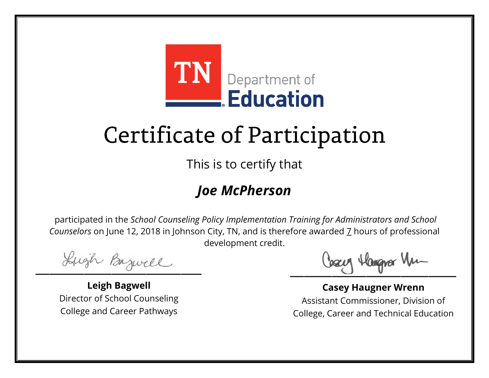

This is to certify that

#### *Joe McPherson*

Lugh Bazwell

**Leigh Bagwell** Director of School Counseling College and Career Pathways

Losey Hangra Vm

**Casey Haugner Wrenn** Assistant Commissioner, Division of College, Career and Technical Education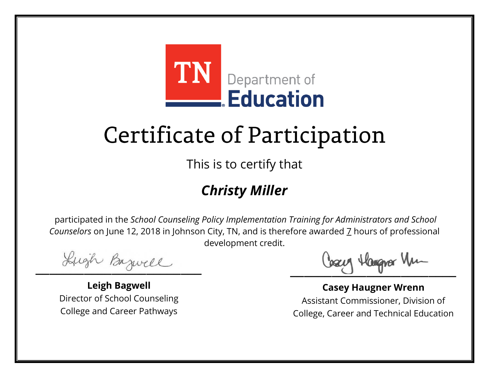

This is to certify that

### *Christy Miller*

Lugh Bazwell

**Leigh Bagwell** Director of School Counseling College and Career Pathways

Losey Hangra Vm

**Casey Haugner Wrenn** Assistant Commissioner, Division of College, Career and Technical Education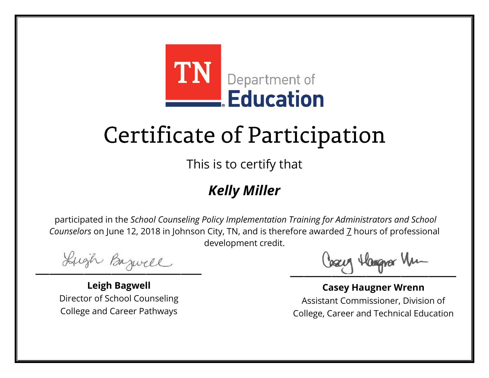

This is to certify that

### *Kelly Miller*

Lugh Bazwell

**Leigh Bagwell** Director of School Counseling College and Career Pathways

Losey Hangra Vm

**Casey Haugner Wrenn** Assistant Commissioner, Division of College, Career and Technical Education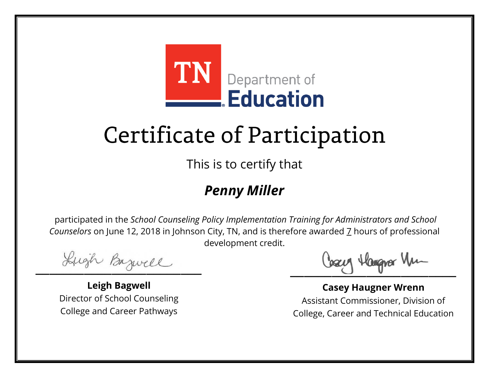

This is to certify that

#### *Penny Miller*

Lugh Bazwell

**Leigh Bagwell** Director of School Counseling College and Career Pathways

Losey Hangra Vm

**Casey Haugner Wrenn** Assistant Commissioner, Division of College, Career and Technical Education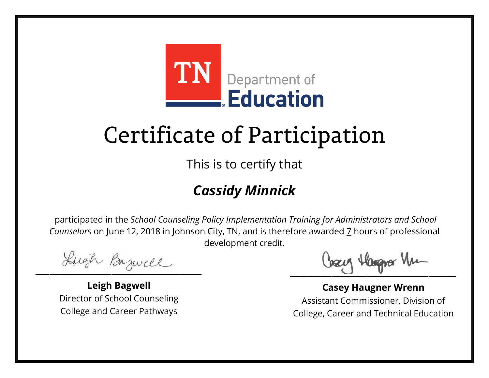

This is to certify that

### *Cassidy Minnick*

Lugh Bazwell

**Leigh Bagwell** Director of School Counseling College and Career Pathways

Losey Hangra Vm

**Casey Haugner Wrenn** Assistant Commissioner, Division of College, Career and Technical Education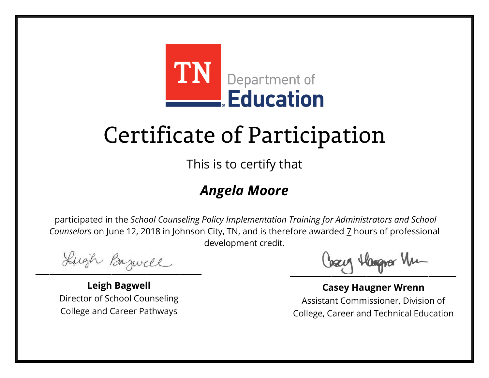

This is to certify that

#### *Angela Moore*

Lugh Bazwell

**Leigh Bagwell** Director of School Counseling College and Career Pathways

Losey Hangra Vm

**Casey Haugner Wrenn** Assistant Commissioner, Division of College, Career and Technical Education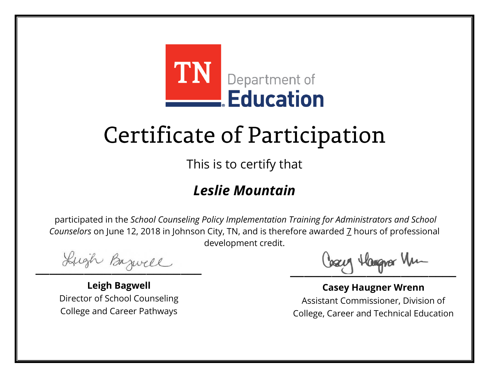

This is to certify that

#### *Leslie Mountain*

Lugh Bazwell

**Leigh Bagwell** Director of School Counseling College and Career Pathways

Losey Hangra Vm

**Casey Haugner Wrenn** Assistant Commissioner, Division of College, Career and Technical Education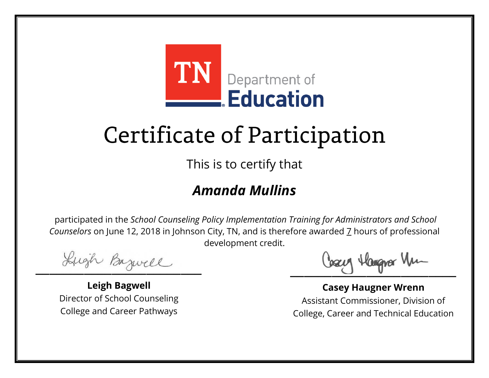

This is to certify that

#### *Amanda Mullins*

Lugh Bazwell

**Leigh Bagwell** Director of School Counseling College and Career Pathways

Losey Hangra Vm

**Casey Haugner Wrenn** Assistant Commissioner, Division of College, Career and Technical Education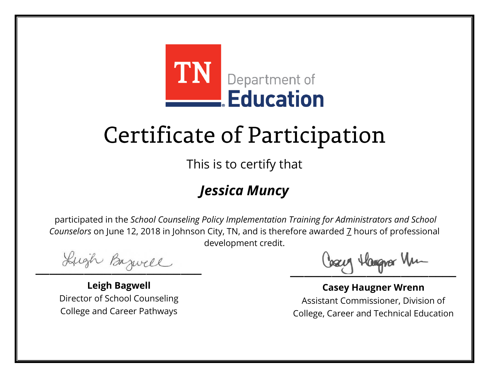

This is to certify that

### *Jessica Muncy*

Lugh Bazwell

**Leigh Bagwell** Director of School Counseling College and Career Pathways

Losey Hangra Vm

**Casey Haugner Wrenn** Assistant Commissioner, Division of College, Career and Technical Education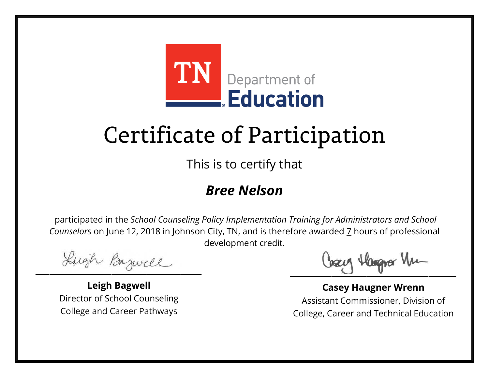

This is to certify that

#### *Bree Nelson*

Lugh Bazwell

**Leigh Bagwell** Director of School Counseling College and Career Pathways

Losey Hangra Vm

**Casey Haugner Wrenn** Assistant Commissioner, Division of College, Career and Technical Education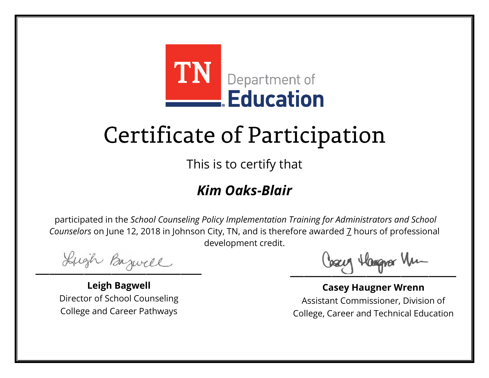

This is to certify that

#### *Kim Oaks-Blair*

Lugh Bazwell

**Leigh Bagwell** Director of School Counseling College and Career Pathways

Losey Hangra Vm

**Casey Haugner Wrenn** Assistant Commissioner, Division of College, Career and Technical Education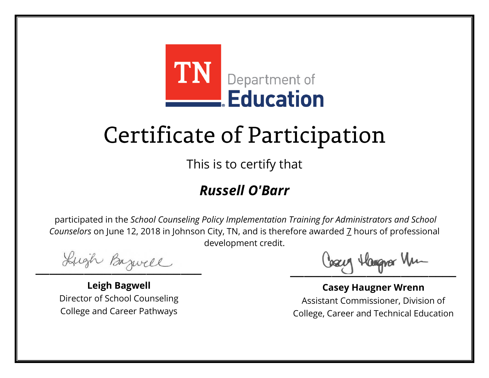

This is to certify that

#### *Russell O'Barr*

Lugh Bazwell

**Leigh Bagwell** Director of School Counseling College and Career Pathways

Losey Hangra Vm

**Casey Haugner Wrenn** Assistant Commissioner, Division of College, Career and Technical Education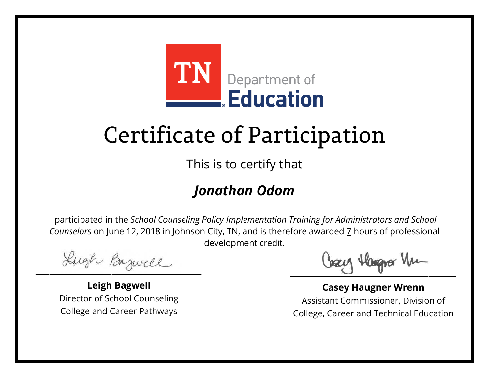

This is to certify that

### *Jonathan Odom*

Lugh Bazwell

**Leigh Bagwell** Director of School Counseling College and Career Pathways

Losey Hangra Vm

**Casey Haugner Wrenn** Assistant Commissioner, Division of College, Career and Technical Education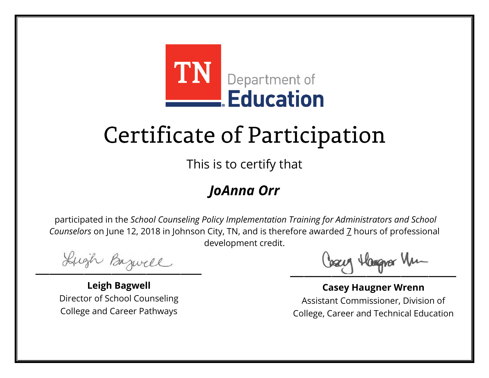

This is to certify that

#### *JoAnna Orr*

Lugh Bazwell

**Leigh Bagwell** Director of School Counseling College and Career Pathways

Losey Hangra Vm

**Casey Haugner Wrenn** Assistant Commissioner, Division of College, Career and Technical Education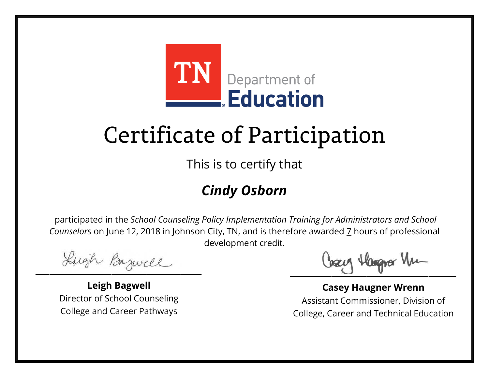

This is to certify that

### *Cindy Osborn*

Lugh Bazwell

**Leigh Bagwell** Director of School Counseling College and Career Pathways

Losey Hangra Vm

**Casey Haugner Wrenn** Assistant Commissioner, Division of College, Career and Technical Education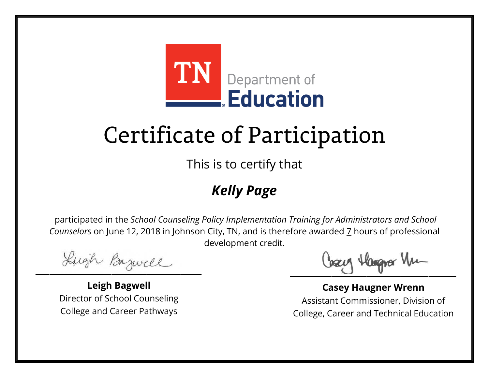

This is to certify that

### *Kelly Page*

Lugh Bazwell

**Leigh Bagwell** Director of School Counseling College and Career Pathways

Losey Hangra Vm

**Casey Haugner Wrenn** Assistant Commissioner, Division of College, Career and Technical Education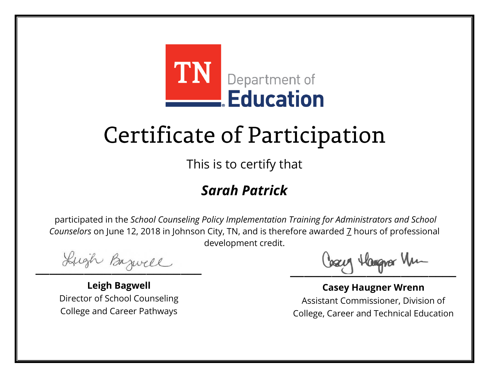

This is to certify that

### *Sarah Patrick*

Lugh Bazwell

**Leigh Bagwell** Director of School Counseling College and Career Pathways

Losey Hangra Vm

**Casey Haugner Wrenn** Assistant Commissioner, Division of College, Career and Technical Education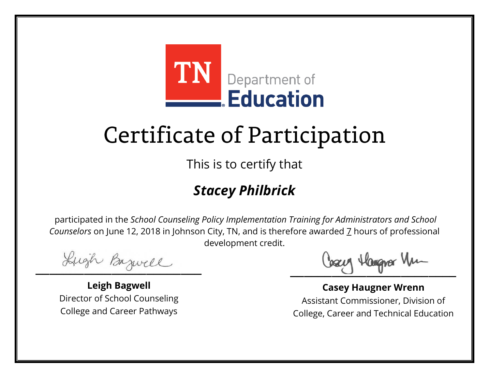

This is to certify that

### *Stacey Philbrick*

Lugh Bazwell

**Leigh Bagwell** Director of School Counseling College and Career Pathways

Losey Hangra Vm

**Casey Haugner Wrenn** Assistant Commissioner, Division of College, Career and Technical Education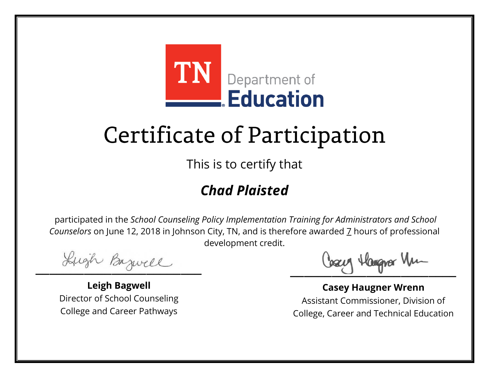

This is to certify that

### *Chad Plaisted*

Lugh Bazwell

**Leigh Bagwell** Director of School Counseling College and Career Pathways

Losey Hangra Vm

**Casey Haugner Wrenn** Assistant Commissioner, Division of College, Career and Technical Education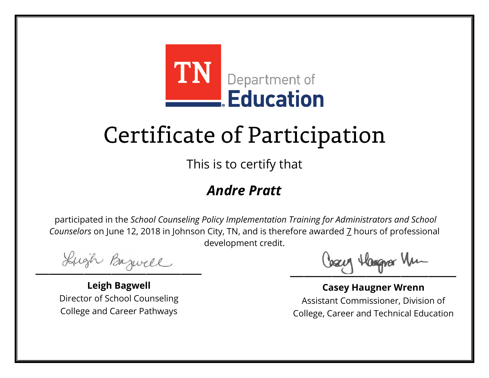

This is to certify that

#### *Andre Pratt*

Lugh Bazwell

**Leigh Bagwell** Director of School Counseling College and Career Pathways

Losey Hangra Vm

**Casey Haugner Wrenn** Assistant Commissioner, Division of College, Career and Technical Education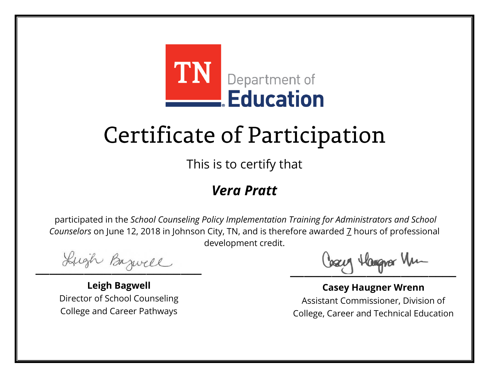

This is to certify that

#### *Vera Pratt*

Lugh Bazwell

**Leigh Bagwell** Director of School Counseling College and Career Pathways

Losey Hangra Vm

**Casey Haugner Wrenn** Assistant Commissioner, Division of College, Career and Technical Education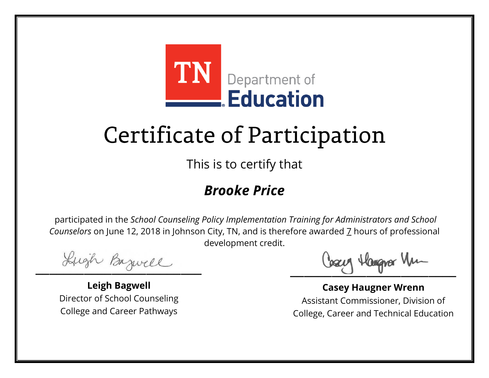

This is to certify that

### *Brooke Price*

Lugh Bazwell

**Leigh Bagwell** Director of School Counseling College and Career Pathways

Losey Hangra Vm

**Casey Haugner Wrenn** Assistant Commissioner, Division of College, Career and Technical Education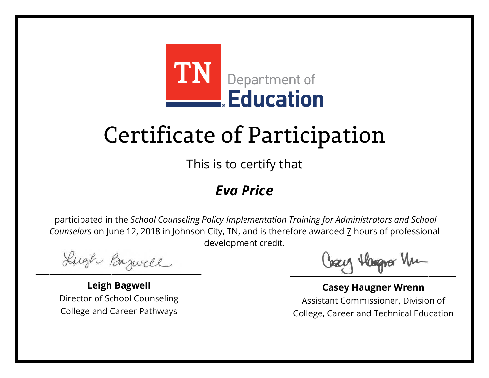

This is to certify that

#### *Eva Price*

Lugh Bazwell

**Leigh Bagwell** Director of School Counseling College and Career Pathways

Losey Hangra Vm

**Casey Haugner Wrenn** Assistant Commissioner, Division of College, Career and Technical Education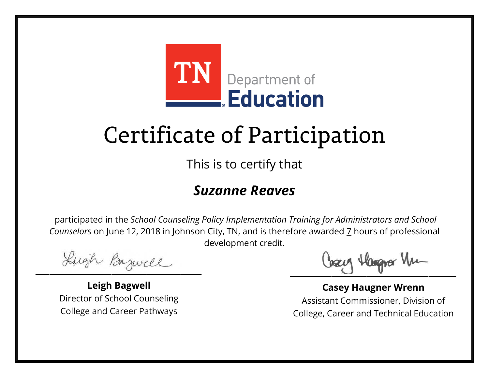

This is to certify that

#### *Suzanne Reaves*

Lugh Bazwell

**Leigh Bagwell** Director of School Counseling College and Career Pathways

Losey Hangra Vm

**Casey Haugner Wrenn** Assistant Commissioner, Division of College, Career and Technical Education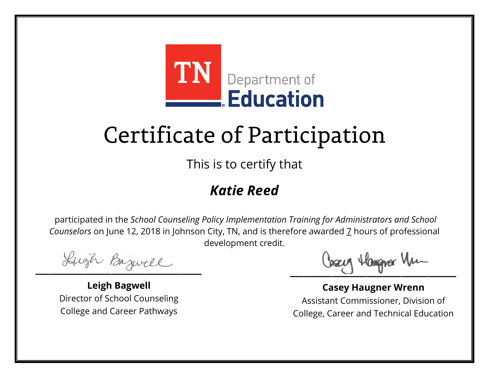

This is to certify that

### *Katie Reed*

Lugh Bazwell

**Leigh Bagwell** Director of School Counseling College and Career Pathways

Losey Hangra Vm

**Casey Haugner Wrenn** Assistant Commissioner, Division of College, Career and Technical Education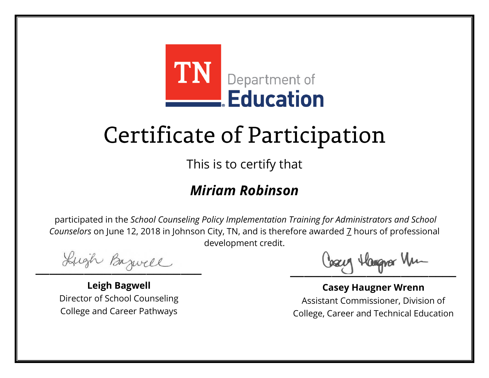

This is to certify that

#### *Miriam Robinson*

Lugh Bazwell

**Leigh Bagwell** Director of School Counseling College and Career Pathways

Losey Hangra Vm

**Casey Haugner Wrenn** Assistant Commissioner, Division of College, Career and Technical Education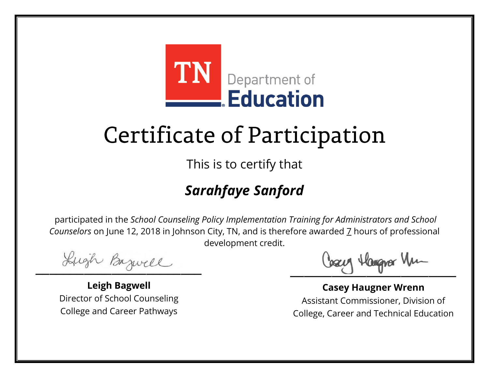

This is to certify that

### *Sarahfaye Sanford*

Lugh Bazwell

**Leigh Bagwell** Director of School Counseling College and Career Pathways

Losey Hangra Vm

**Casey Haugner Wrenn** Assistant Commissioner, Division of College, Career and Technical Education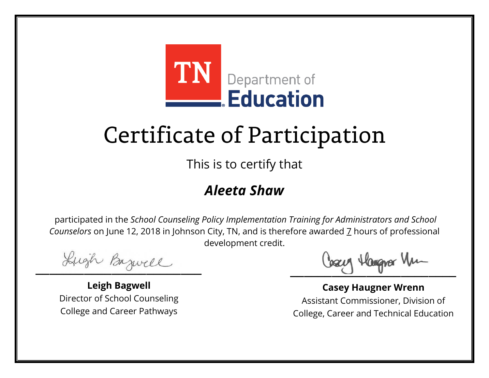

This is to certify that

#### *Aleeta Shaw*

Lugh Bazwell

**Leigh Bagwell** Director of School Counseling College and Career Pathways

Losey Hangra Vm

**Casey Haugner Wrenn** Assistant Commissioner, Division of College, Career and Technical Education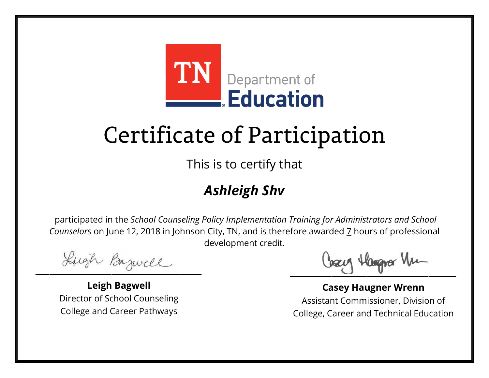

This is to certify that

### *Ashleigh Shv*

Lugh Bazwell

**Leigh Bagwell** Director of School Counseling College and Career Pathways

Losey Hangra Vm

**Casey Haugner Wrenn** Assistant Commissioner, Division of College, Career and Technical Education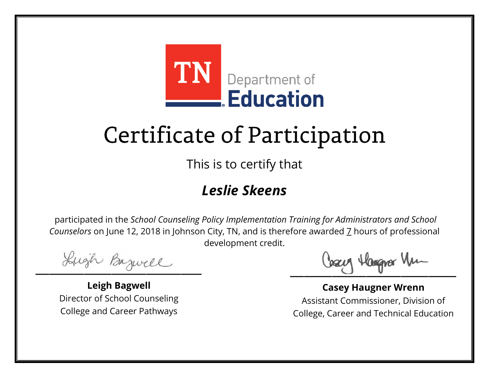

This is to certify that

#### *Leslie Skeens*

Lugh Bazwell

**Leigh Bagwell** Director of School Counseling College and Career Pathways

Losey Hangra Vm

**Casey Haugner Wrenn** Assistant Commissioner, Division of College, Career and Technical Education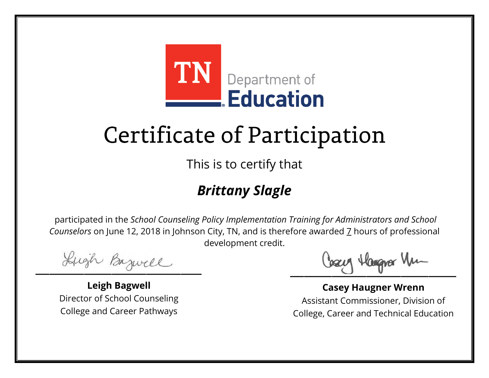

This is to certify that

### *Brittany Slagle*

Lugh Bazwell

**Leigh Bagwell** Director of School Counseling College and Career Pathways

Losey Hangra Vm

**Casey Haugner Wrenn** Assistant Commissioner, Division of College, Career and Technical Education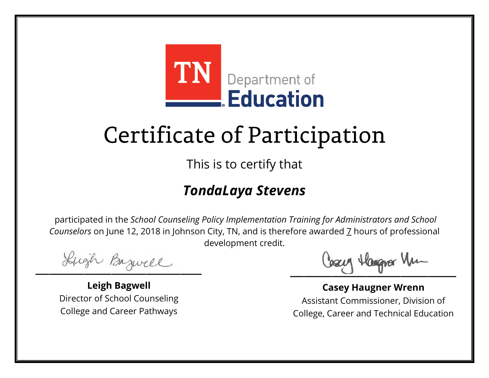

This is to certify that

#### *TondaLaya Stevens*

Lugh Bazwell

**Leigh Bagwell** Director of School Counseling College and Career Pathways

Losey Hangra Vm

**Casey Haugner Wrenn** Assistant Commissioner, Division of College, Career and Technical Education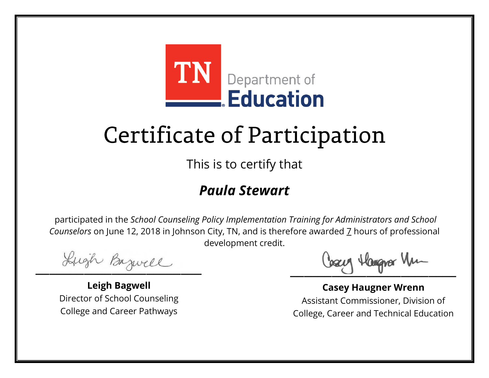

This is to certify that

#### *Paula Stewart*

Lugh Bazwell

**Leigh Bagwell** Director of School Counseling College and Career Pathways

Losey Hangra Vm

**Casey Haugner Wrenn** Assistant Commissioner, Division of College, Career and Technical Education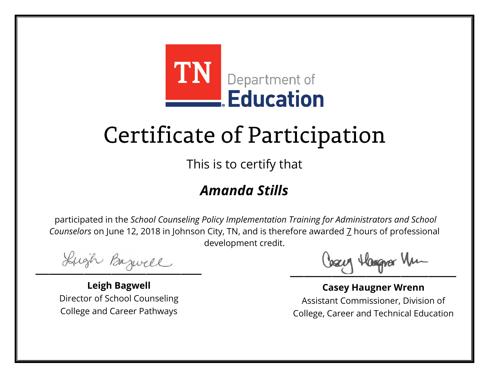

This is to certify that

#### *Amanda Stills*

Lugh Bazwell

**Leigh Bagwell** Director of School Counseling College and Career Pathways

Losey Hangra Vm

**Casey Haugner Wrenn** Assistant Commissioner, Division of College, Career and Technical Education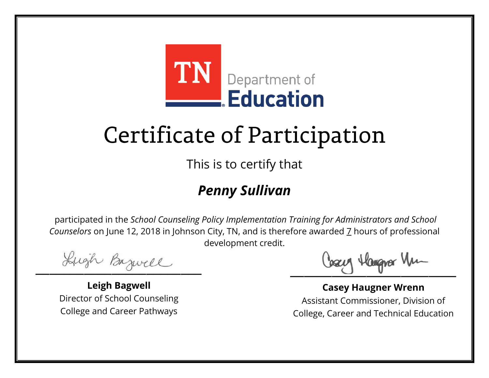

This is to certify that

### *Penny Sullivan*

Lugh Bazwell

**Leigh Bagwell** Director of School Counseling College and Career Pathways

Losey Hangra Vm

**Casey Haugner Wrenn** Assistant Commissioner, Division of College, Career and Technical Education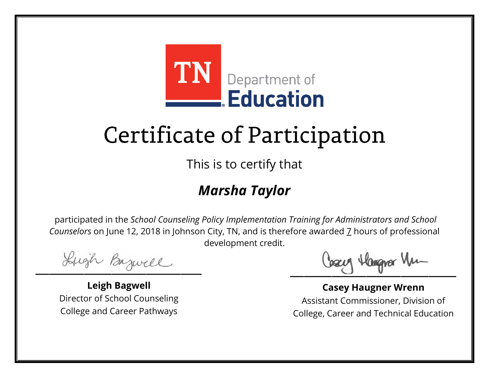

This is to certify that

### *Marsha Taylor*

Lugh Bazwell

**Leigh Bagwell** Director of School Counseling College and Career Pathways

Losey Hangra Vm

**Casey Haugner Wrenn** Assistant Commissioner, Division of College, Career and Technical Education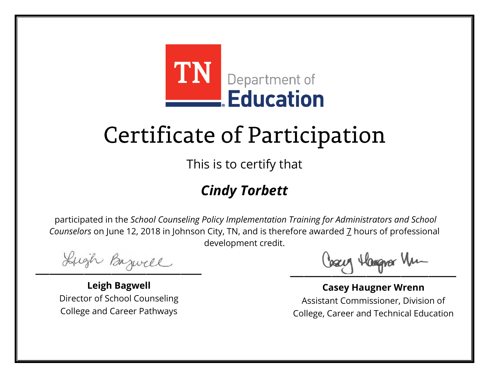

This is to certify that

### *Cindy Torbett*

Lugh Bazwell

**Leigh Bagwell** Director of School Counseling College and Career Pathways

Losey Hangra Vm

**Casey Haugner Wrenn** Assistant Commissioner, Division of College, Career and Technical Education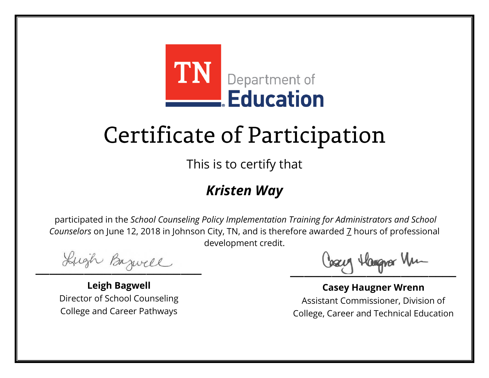

This is to certify that

#### *Kristen Way*

Lugh Bazwell

**Leigh Bagwell** Director of School Counseling College and Career Pathways

Losey Hangra Vm

**Casey Haugner Wrenn** Assistant Commissioner, Division of College, Career and Technical Education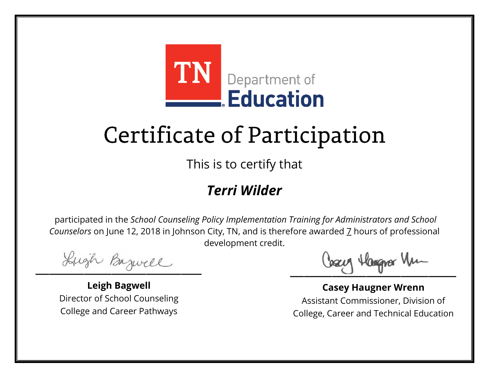

This is to certify that

#### *Terri Wilder*

Lugh Bazwell

**Leigh Bagwell** Director of School Counseling College and Career Pathways

Losey Hangra Vm

**Casey Haugner Wrenn** Assistant Commissioner, Division of College, Career and Technical Education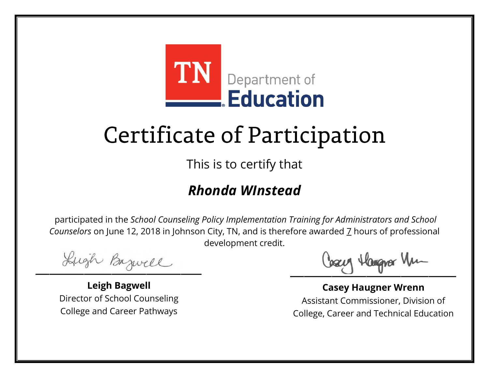

This is to certify that

#### *Rhonda WInstead*

Lugh Bazwell

**Leigh Bagwell** Director of School Counseling College and Career Pathways

Losey Hangra Vm

**Casey Haugner Wrenn** Assistant Commissioner, Division of College, Career and Technical Education